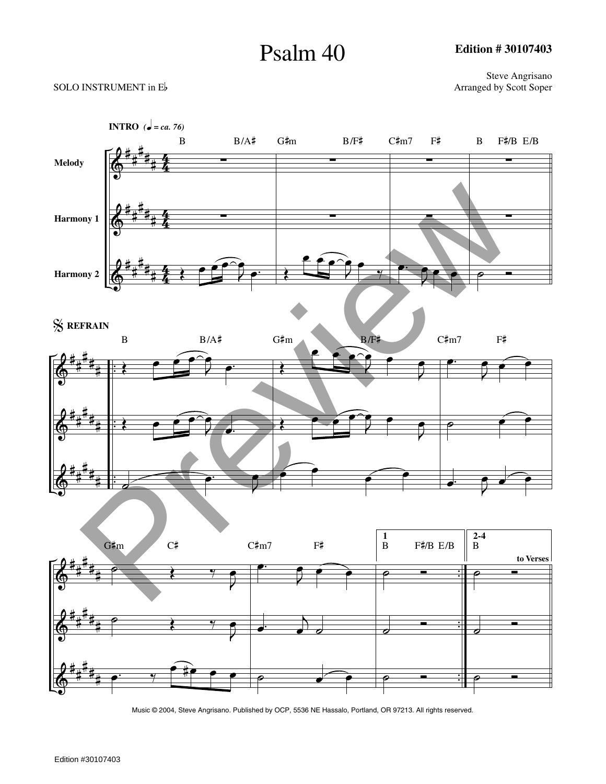## Psalm 40

**Edition # 30107403**

## SOLO INSTRUMENT in  $E$ <sup>b</sup>

Steve Angrisano<br>Arranged by Scott Soper



Music © 2004, Steve Angrisano. Published by OCP, 5536 NE Hassalo, Portland, OR 97213. All rights reserved.